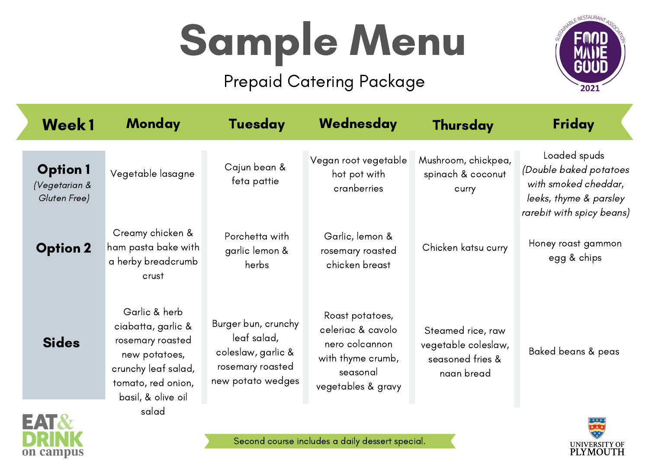# Sample Menu

#### Prepaid Catering Package



UNIVERSITY OF<br>PLYMOUTH

| <b>Week1</b>                                     | <b>Monday</b>                                                                                                                               | <b>Tuesday</b>                                                                                    | Wednesday                                                                                                     | <b>Thursday</b>                                                            | Friday                                                                                                                |
|--------------------------------------------------|---------------------------------------------------------------------------------------------------------------------------------------------|---------------------------------------------------------------------------------------------------|---------------------------------------------------------------------------------------------------------------|----------------------------------------------------------------------------|-----------------------------------------------------------------------------------------------------------------------|
| <b>Option 1</b><br>(Vegetarian &<br>Gluten Free) | Vegetable lasagne                                                                                                                           | Cajun bean &<br>feta pattie                                                                       | Vegan root vegetable<br>hot pot with<br>cranberries                                                           | Mushroom, chickpea,<br>spinach & coconut<br>curry                          | Loaded spuds<br>(Double baked potatoes<br>with smoked cheddar,<br>leeks, thyme & parsley<br>rarebit with spicy beans) |
| <b>Option 2</b>                                  | Creamy chicken &<br>ham pasta bake with<br>a herby breadcrumb<br>crust                                                                      | Porchetta with<br>garlic lemon &<br>herbs                                                         | Garlic, lemon &<br>rosemary roasted<br>chicken breast                                                         | Chicken katsu curry                                                        | Honey roast gammon<br>egg & chips                                                                                     |
| <b>Sides</b>                                     | Garlic & herb<br>ciabatta, garlic &<br>rosemary roasted<br>new potatoes,<br>crunchy leaf salad,<br>tomato, red onion,<br>basil, & olive oil | Burger bun, crunchy<br>leaf salad,<br>coleslaw, garlic &<br>rosemary roasted<br>new potato wedges | Roast potatoes,<br>celeriac & cavolo<br>nero colcannon<br>with thyme crumb,<br>seasonal<br>vegetables & gravy | Steamed rice, raw<br>vegetable coleslaw,<br>seasoned fries &<br>naan bread | Baked beans & peas                                                                                                    |
| NT O                                             | salad                                                                                                                                       |                                                                                                   |                                                                                                               |                                                                            |                                                                                                                       |

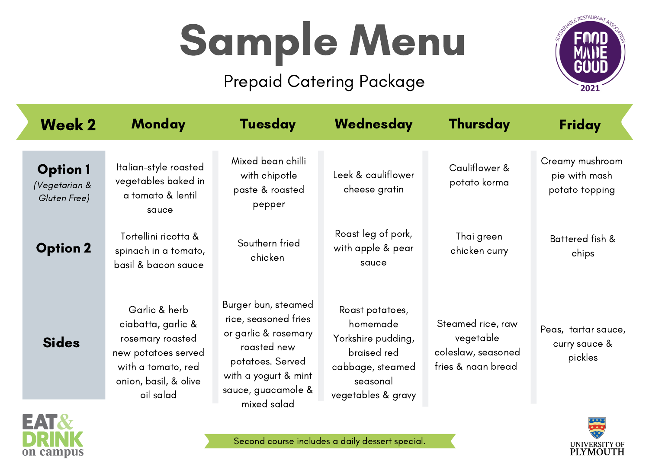# Sample Menu

#### Prepaid Catering Package



| <b>Week 2</b>                                   | <b>Monday</b>                                                                                                                              | <b>Tuesday</b>                                                                                                                                                      | Wednesday                                                                                                              | <b>Thursday</b>                                                            | Friday                                             |
|-------------------------------------------------|--------------------------------------------------------------------------------------------------------------------------------------------|---------------------------------------------------------------------------------------------------------------------------------------------------------------------|------------------------------------------------------------------------------------------------------------------------|----------------------------------------------------------------------------|----------------------------------------------------|
| <b>Option1</b><br>(Vegetarian &<br>Gluten Free) | Italian-style roasted<br>vegetables baked in<br>a tomato & lentil<br>sauce                                                                 | Mixed bean chilli<br>with chipotle<br>paste & roasted<br>pepper                                                                                                     | Leek & cauliflower<br>cheese gratin                                                                                    | Cauliflower &<br>potato korma                                              | Creamy mushroom<br>pie with mash<br>potato topping |
| <b>Option 2</b>                                 | Tortellini ricotta &<br>spinach in a tomato,<br>basil & bacon sauce                                                                        | Southern fried<br>chicken                                                                                                                                           | Roast leg of pork,<br>with apple & pear<br>squce                                                                       | Thai green<br>chicken curry                                                | Battered fish &<br>chips                           |
| <b>Sides</b>                                    | Garlic & herb<br>ciabatta, garlic &<br>rosemary roasted<br>new potatoes served<br>with a tomato, red<br>onion, basil, & olive<br>oil salad | Burger bun, steamed<br>rice, seasoned fries<br>or garlic & rosemary<br>roasted new<br>potatoes. Served<br>with a yogurt & mint<br>sauce, guacamole &<br>mixed salad | Roast potatoes,<br>homemade<br>Yorkshire pudding,<br>braised red<br>cabbage, steamed<br>seasonal<br>vegetables & gravy | Steamed rice, raw<br>vegetable<br>coleslaw, seasoned<br>fries & naan bread | Peas, tartar sauce,<br>curry sauce &<br>pickles    |
|                                                 |                                                                                                                                            |                                                                                                                                                                     |                                                                                                                        |                                                                            | * * * * *                                          |